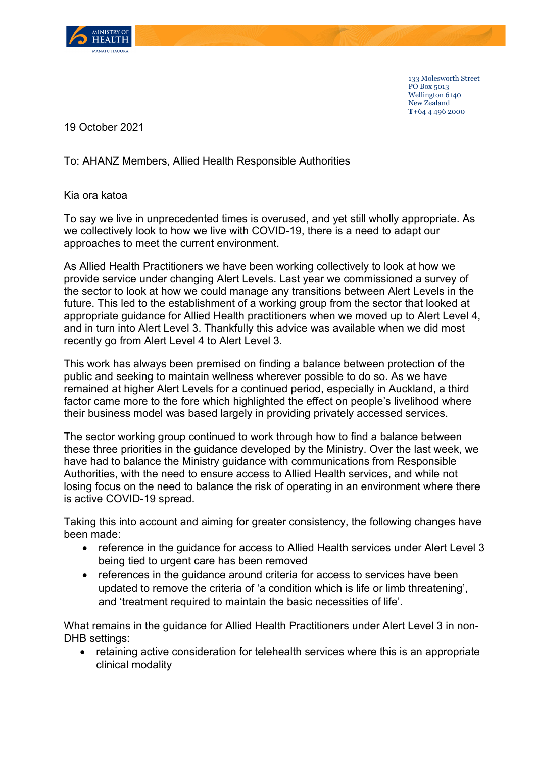

133 Molesworth Street PO Box 5013 Wellington 6140 New Zealand **T**+64 4 496 2000

19 October 2021

## To: AHANZ Members, Allied Health Responsible Authorities

Kia ora katoa

To say we live in unprecedented times is overused, and yet still wholly appropriate. As we collectively look to how we live with COVID-19, there is a need to adapt our approaches to meet the current environment.

As Allied Health Practitioners we have been working collectively to look at how we provide service under changing Alert Levels. Last year we commissioned a survey of the sector to look at how we could manage any transitions between Alert Levels in the future. This led to the establishment of a working group from the sector that looked at appropriate guidance for Allied Health practitioners when we moved up to Alert Level 4, and in turn into Alert Level 3. Thankfully this advice was available when we did most recently go from Alert Level 4 to Alert Level 3.

This work has always been premised on finding a balance between protection of the public and seeking to maintain wellness wherever possible to do so. As we have remained at higher Alert Levels for a continued period, especially in Auckland, a third factor came more to the fore which highlighted the effect on people's livelihood where their business model was based largely in providing privately accessed services.

The sector working group continued to work through how to find a balance between these three priorities in the guidance developed by the Ministry. Over the last week, we have had to balance the Ministry guidance with communications from Responsible Authorities, with the need to ensure access to Allied Health services, and while not losing focus on the need to balance the risk of operating in an environment where there is active COVID-19 spread.

Taking this into account and aiming for greater consistency, the following changes have been made:

- reference in the guidance for access to Allied Health services under Alert Level 3 being tied to urgent care has been removed
- references in the guidance around criteria for access to services have been updated to remove the criteria of 'a condition which is life or limb threatening', and 'treatment required to maintain the basic necessities of life'.

What remains in the guidance for Allied Health Practitioners under Alert Level 3 in non-DHB settings:

• retaining active consideration for telehealth services where this is an appropriate clinical modality